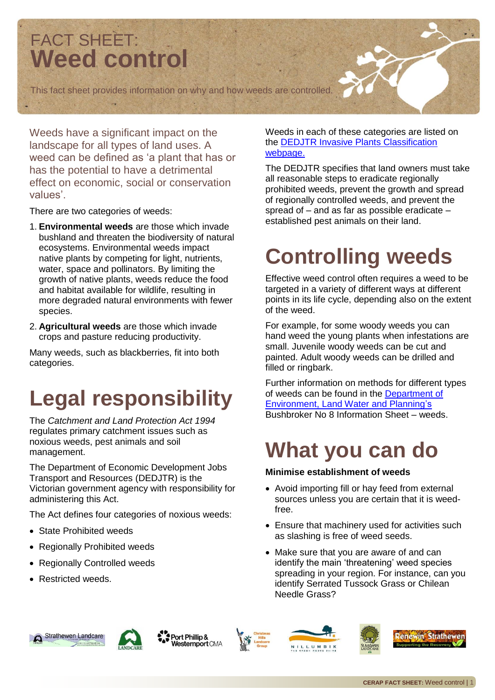

Weeds have a significant impact on the landscape for all types of land uses. A weed can be defined as 'a plant that has or has the potential to have a detrimental effect on economic, social or conservation values'.

There are two categories of weeds:

- 1. **Environmental weeds** are those which invade bushland and threaten the biodiversity of natural ecosystems. Environmental weeds impact native plants by competing for light, nutrients, water, space and pollinators. By limiting the growth of native plants, weeds reduce the food and habitat available for wildlife, resulting in more degraded natural environments with fewer species.
- 2. **Agricultural weeds** are those which invade crops and pasture reducing productivity.

Many weeds, such as blackberries, fit into both categories.

# **Legal responsibility**

The *Catchment and Land Protection Act 1994* regulates primary catchment issues such as noxious weeds, pest animals and soil management.

The Department of Economic Development Jobs Transport and Resources (DEDJTR) is the Victorian government agency with responsibility for administering this Act.

The Act defines four categories of noxious weeds:

- State Prohibited weeds
- Regionally Prohibited weeds
- Regionally Controlled weeds
- Restricted weeds.

#### Weeds in each of these categories are listed on the [DEDJTR Invasive Plants Classification](http://agriculture.vic.gov.au/agriculture/pests-diseases-and-weeds/weeds/invasive-plant-classifications)  [webpage.](http://agriculture.vic.gov.au/agriculture/pests-diseases-and-weeds/weeds/invasive-plant-classifications)

The DEDJTR specifies that land owners must take all reasonable steps to eradicate regionally prohibited weeds, prevent the growth and spread of regionally controlled weeds, and prevent the spread of – and as far as possible eradicate – established pest animals on their land.

## **Controlling weeds**

Effective weed control often requires a weed to be targeted in a variety of different ways at different points in its life cycle, depending also on the extent of the weed.

For example, for some woody weeds you can hand weed the young plants when infestations are small. Juvenile woody weeds can be cut and painted. Adult woody weeds can be drilled and filled or ringbark.

Further information on methods for different types of weeds can be found in the [Department](http://www.depi.vic.gov.au/environment-and-wildlife/biodiversity/native-vegetation/native-vegetation-permitted-clearing-regulations/native-vegetation-offsets/bushbroker/publication-and-statistics) of [Environment, Land Water and Planning's](http://www.depi.vic.gov.au/environment-and-wildlife/biodiversity/native-vegetation/native-vegetation-permitted-clearing-regulations/native-vegetation-offsets/bushbroker/publication-and-statistics)  Bushbroker No 8 Information Sheet – weeds.

## **What you can do**

#### **Minimise establishment of weeds**

- Avoid importing fill or hay feed from external sources unless you are certain that it is weedfree.
- Ensure that machinery used for activities such as slashing is free of weed seeds.
- Make sure that you are aware of and can identify the main 'threatening' weed species spreading in your region. For instance, can you identify Serrated Tussock Grass or Chilean Needle Grass?





Port Phillip & **Westernport CMA** 





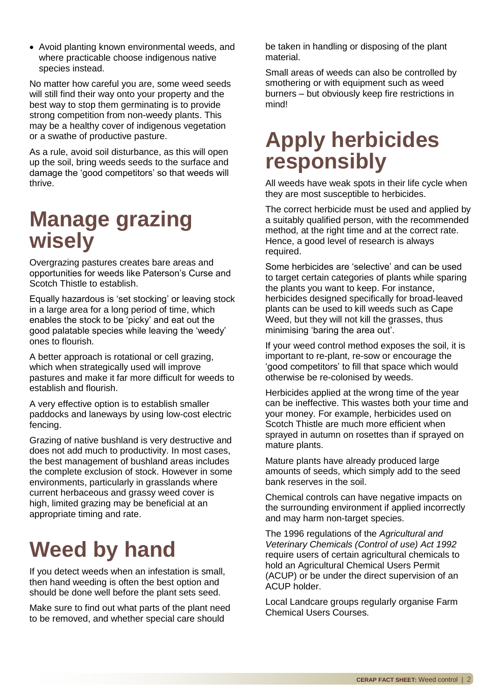Avoid planting known environmental weeds, and where practicable choose indigenous native species instead.

No matter how careful you are, some weed seeds will still find their way onto your property and the best way to stop them germinating is to provide strong competition from non-weedy plants. This may be a healthy cover of indigenous vegetation or a swathe of productive pasture.

As a rule, avoid soil disturbance, as this will open up the soil, bring weeds seeds to the surface and damage the 'good competitors' so that weeds will thrive.

#### **Manage grazing wisely**

Overgrazing pastures creates bare areas and opportunities for weeds like Paterson's Curse and Scotch Thistle to establish.

Equally hazardous is 'set stocking' or leaving stock in a large area for a long period of time, which enables the stock to be 'picky' and eat out the good palatable species while leaving the 'weedy' ones to flourish.

A better approach is rotational or cell grazing, which when strategically used will improve pastures and make it far more difficult for weeds to establish and flourish.

A very effective option is to establish smaller paddocks and laneways by using low-cost electric fencing.

Grazing of native bushland is very destructive and does not add much to productivity. In most cases, the best management of bushland areas includes the complete exclusion of stock. However in some environments, particularly in grasslands where current herbaceous and grassy weed cover is high, limited grazing may be beneficial at an appropriate timing and rate.

# **Weed by hand**

If you detect weeds when an infestation is small, then hand weeding is often the best option and should be done well before the plant sets seed.

Make sure to find out what parts of the plant need to be removed, and whether special care should

be taken in handling or disposing of the plant material.

Small areas of weeds can also be controlled by smothering or with equipment such as weed burners – but obviously keep fire restrictions in mind!

#### **Apply herbicides responsibly**

All weeds have weak spots in their life cycle when they are most susceptible to herbicides.

The correct herbicide must be used and applied by a suitably qualified person, with the recommended method, at the right time and at the correct rate. Hence, a good level of research is always required.

Some herbicides are 'selective' and can be used to target certain categories of plants while sparing the plants you want to keep. For instance, herbicides designed specifically for broad-leaved plants can be used to kill weeds such as Cape Weed, but they will not kill the grasses, thus minimising 'baring the area out'.

If your weed control method exposes the soil, it is important to re-plant, re-sow or encourage the 'good competitors' to fill that space which would otherwise be re-colonised by weeds.

Herbicides applied at the wrong time of the year can be ineffective. This wastes both your time and your money. For example, herbicides used on Scotch Thistle are much more efficient when sprayed in autumn on rosettes than if sprayed on mature plants.

Mature plants have already produced large amounts of seeds, which simply add to the seed bank reserves in the soil.

Chemical controls can have negative impacts on the surrounding environment if applied incorrectly and may harm non-target species.

The 1996 regulations of the *Agricultural and Veterinary Chemicals (Control of use) Act 1992* require users of certain agricultural chemicals to hold an Agricultural Chemical Users Permit (ACUP) or be under the direct supervision of an ACUP holder.

Local Landcare groups regularly organise Farm Chemical Users Courses.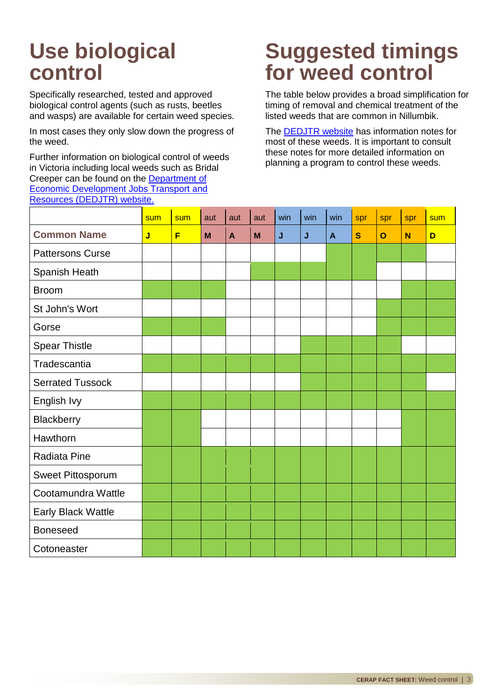## **Use biological control**

Specifically researched, tested and approved biological control agents (such as rusts, beetles and wasps) are available for certain weed species.

In most cases they only slow down the progress of the weed.

Further information on biological control of weeds in Victoria including local weeds such as Bridal Creeper can be found on the [Department](http://www.dpi.vic.gov.au/agriculture/pests-diseases-and-weeds/weeds/invasive-plant-management/biological-control-of-weeds) of [Economic Development Jobs Transport and](http://www.dpi.vic.gov.au/agriculture/pests-diseases-and-weeds/weeds/invasive-plant-management/biological-control-of-weeds)  [Resources \(DEDJTR\) website.](http://www.dpi.vic.gov.au/agriculture/pests-diseases-and-weeds/weeds/invasive-plant-management/biological-control-of-weeds)

### **Suggested timings for weed control**

The table below provides a broad simplification for timing of removal and chemical treatment of the listed weeds that are common in Nillumbik.

The **DEDJTR** website has information notes for most of these weeds. It is important to consult these notes for more detailed information on planning a program to control these weeds.

| <u>11000a1000 (DEB0111) Mobolto:</u> |                         |     |     |              |     |     |     |              |              |              |     |     |
|--------------------------------------|-------------------------|-----|-----|--------------|-----|-----|-----|--------------|--------------|--------------|-----|-----|
|                                      | sum                     | sum | aut | aut          | aut | win | win | win          | spr          | spr          | spr | sum |
| <b>Common Name</b>                   | $\overline{\mathsf{J}}$ | F   | M   | $\mathbf{A}$ | M   | J   | J   | $\mathbf{A}$ | $\mathbf{s}$ | $\mathbf{o}$ | N   | D   |
| <b>Pattersons Curse</b>              |                         |     |     |              |     |     |     |              |              |              |     |     |
| Spanish Heath                        |                         |     |     |              |     |     |     |              |              |              |     |     |
| <b>Broom</b>                         |                         |     |     |              |     |     |     |              |              |              |     |     |
| St John's Wort                       |                         |     |     |              |     |     |     |              |              |              |     |     |
| Gorse                                |                         |     |     |              |     |     |     |              |              |              |     |     |
| <b>Spear Thistle</b>                 |                         |     |     |              |     |     |     |              |              |              |     |     |
| Tradescantia                         |                         |     |     |              |     |     |     |              |              |              |     |     |
| <b>Serrated Tussock</b>              |                         |     |     |              |     |     |     |              |              |              |     |     |
| English Ivy                          |                         |     |     |              |     |     |     |              |              |              |     |     |
| Blackberry                           |                         |     |     |              |     |     |     |              |              |              |     |     |
| Hawthorn                             |                         |     |     |              |     |     |     |              |              |              |     |     |
| Radiata Pine                         |                         |     |     |              |     |     |     |              |              |              |     |     |
| Sweet Pittosporum                    |                         |     |     |              |     |     |     |              |              |              |     |     |
| Cootamundra Wattle                   |                         |     |     |              |     |     |     |              |              |              |     |     |
| Early Black Wattle                   |                         |     |     |              |     |     |     |              |              |              |     |     |
| <b>Boneseed</b>                      |                         |     |     |              |     |     |     |              |              |              |     |     |
| Cotoneaster                          |                         |     |     |              |     |     |     |              |              |              |     |     |